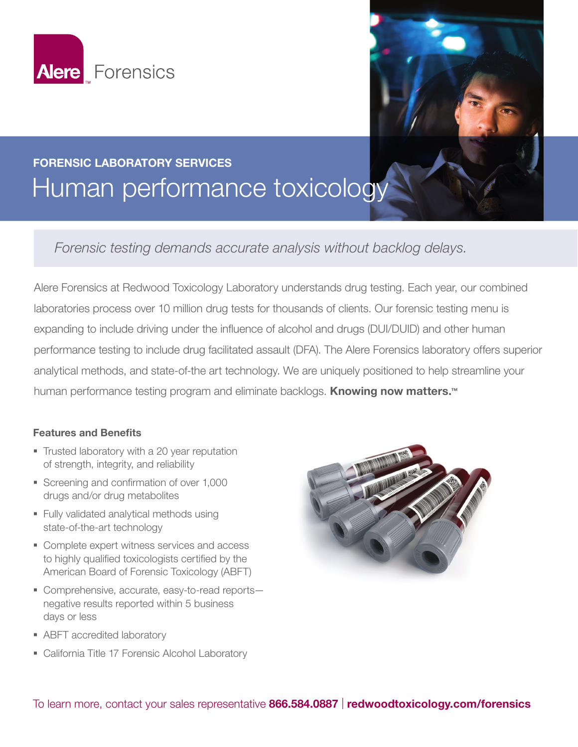



## FORENSIC LABORATORY SERVICES Human performance toxicology

*Forensic testing demands accurate analysis without backlog delays.*

Alere Forensics at Redwood Toxicology Laboratory understands drug testing. Each year, our combined laboratories process over 10 million drug tests for thousands of clients. Our forensic testing menu is expanding to include driving under the influence of alcohol and drugs (DUI/DUID) and other human performance testing to include drug facilitated assault (DFA). The Alere Forensics laboratory offers superior analytical methods, and state-of-the art technology. We are uniquely positioned to help streamline your human performance testing program and eliminate backlogs. **Knowing now matters.™**

## Features and Benefits

- Trusted laboratory with a 20 year reputation of strength, integrity, and reliability
- Screening and confirmation of over 1,000 drugs and/or drug metabolites
- **Fully validated analytical methods using** state-of-the-art technology
- Complete expert witness services and access to highly qualified toxicologists certified by the American Board of Forensic Toxicology (ABFT)
- Comprehensive, accurate, easy-to-read reports negative results reported within 5 business days or less
- ABFT accredited laboratory
- **-** California Title 17 Forensic Alcohol Laboratory